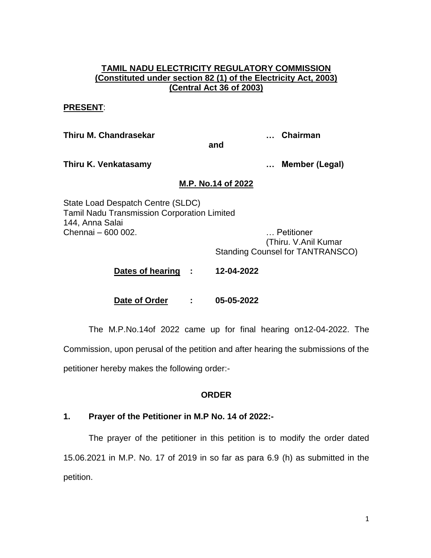### **TAMIL NADU ELECTRICITY REGULATORY COMMISSION (Constituted under section 82 (1) of the Electricity Act, 2003) (Central Act 36 of 2003)**

#### **PRESENT**:

**Thiru M. Chandrasekar … Chairman**

**and**

**Thiru K. Venkatasamy … Member (Legal)**

### **M.P. No.14 of 2022**

State Load Despatch Centre (SLDC) Tamil Nadu Transmission Corporation Limited 144, Anna Salai Chennai – 600 002. … Petitioner

(Thiru. V.Anil Kumar Standing Counsel for TANTRANSCO)

**Dates of hearing : 12-04-2022**

**Date of Order : 05-05-2022**

The M.P.No.14of 2022 came up for final hearing on12-04-2022. The Commission, upon perusal of the petition and after hearing the submissions of the

petitioner hereby makes the following order:-

## **ORDER**

## **1. Prayer of the Petitioner in M.P No. 14 of 2022:-**

The prayer of the petitioner in this petition is to modify the order dated 15.06.2021 in M.P. No. 17 of 2019 in so far as para 6.9 (h) as submitted in the petition.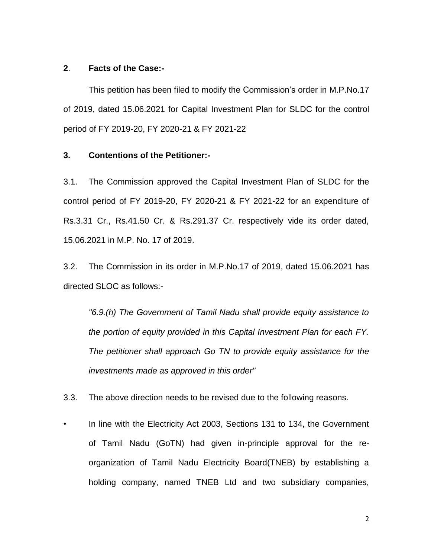#### **2**. **Facts of the Case:-**

This petition has been filed to modify the Commission's order in M.P.No.17 of 2019, dated 15.06.2021 for Capital Investment Plan for SLDC for the control period of FY 2019-20, FY 2020-21 & FY 2021-22

### **3. Contentions of the Petitioner:-**

3.1. The Commission approved the Capital Investment Plan of SLDC for the control period of FY 2019-20, FY 2020-21 & FY 2021-22 for an expenditure of Rs.3.31 Cr., Rs.41.50 Cr. & Rs.291.37 Cr. respectively vide its order dated, 15.06.2021 in M.P. No. 17 of 2019.

3.2. The Commission in its order in M.P.No.17 of 2019, dated 15.06.2021 has directed SLOC as follows:-

*"6.9.(h) The Government of Tamil Nadu shall provide equity assistance to the portion of equity provided in this Capital Investment Plan for each FY. The petitioner shall approach Go TN to provide equity assistance for the investments made as approved in this order"* 

3.3. The above direction needs to be revised due to the following reasons.

• In line with the Electricity Act 2003, Sections 131 to 134, the Government of Tamil Nadu (GoTN) had given in-principle approval for the reorganization of Tamil Nadu Electricity Board(TNEB) by establishing a holding company, named TNEB Ltd and two subsidiary companies,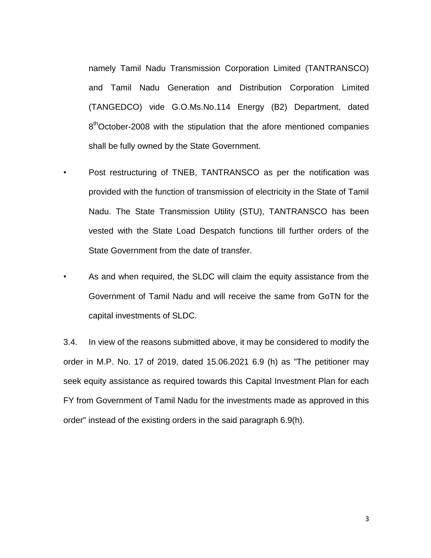namely Tamil Nadu Transmission Corporation Limited (TANTRANSCO) and Tamil Nadu Generation and Distribution Corporation Limited (TANGEDCO) vide G.O.Ms.No.114 Energy (B2) Department, dated 8<sup>th</sup>October-2008 with the stipulation that the afore mentioned companies shall be fully owned by the State Government.

- Post restructuring of TNEB, TANTRANSCO as per the notification was provided with the function of transmission of electricity in the State of Tamil Nadu. The State Transmission Utility (STU), TANTRANSCO has been vested with the State Load Despatch functions till further orders of the State Government from the date of transfer.
- As and when required, the SLDC will claim the equity assistance from the Government of Tamil Nadu and will receive the same from GoTN for the capital investments of SLDC.

3.4. In view of the reasons submitted above, it may be considered to modify the order in M.P. No. 17 of 2019, dated 15.06.2021 6.9 (h) as "The petitioner may seek equity assistance as required towards this Capital Investment Plan for each FY from Government of Tamil Nadu for the investments made as approved in this order" instead of the existing orders in the said paragraph 6.9(h).